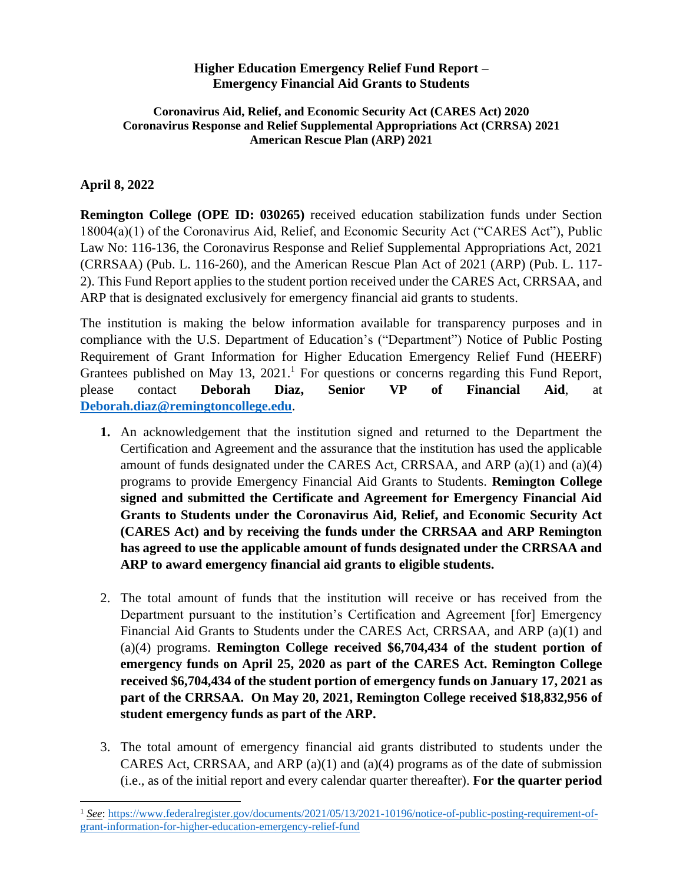#### **Higher Education Emergency Relief Fund Report – Emergency Financial Aid Grants to Students**

#### **Coronavirus Aid, Relief, and Economic Security Act (CARES Act) 2020 Coronavirus Response and Relief Supplemental Appropriations Act (CRRSA) 2021 American Rescue Plan (ARP) 2021**

#### **April 8, 2022**

**Remington College (OPE ID: 030265)** received education stabilization funds under Section 18004(a)(1) of the Coronavirus Aid, Relief, and Economic Security Act ("CARES Act"), Public Law No: 116-136, the Coronavirus Response and Relief Supplemental Appropriations Act, 2021 (CRRSAA) (Pub. L. 116-260), and the American Rescue Plan Act of 2021 (ARP) (Pub. L. 117- 2). This Fund Report applies to the student portion received under the CARES Act, CRRSAA, and ARP that is designated exclusively for emergency financial aid grants to students.

The institution is making the below information available for transparency purposes and in compliance with the U.S. Department of Education's ("Department") Notice of Public Posting Requirement of Grant Information for Higher Education Emergency Relief Fund (HEERF) Grantees published on May 13, 2021.<sup>1</sup> For questions or concerns regarding this Fund Report, please contact **Deborah Diaz, Senior VP of Financial Aid**, at **[Deborah.diaz@remingtoncollege.edu](mailto:Deborah.diaz@remingtoncollege.edu)**.

- **1.** An acknowledgement that the institution signed and returned to the Department the Certification and Agreement and the assurance that the institution has used the applicable amount of funds designated under the CARES Act, CRRSAA, and ARP (a)(1) and (a)(4) programs to provide Emergency Financial Aid Grants to Students. **Remington College signed and submitted the Certificate and Agreement for Emergency Financial Aid Grants to Students under the Coronavirus Aid, Relief, and Economic Security Act (CARES Act) and by receiving the funds under the CRRSAA and ARP Remington has agreed to use the applicable amount of funds designated under the CRRSAA and ARP to award emergency financial aid grants to eligible students.**
- 2. The total amount of funds that the institution will receive or has received from the Department pursuant to the institution's Certification and Agreement [for] Emergency Financial Aid Grants to Students under the CARES Act, CRRSAA, and ARP (a)(1) and (a)(4) programs. **Remington College received \$6,704,434 of the student portion of emergency funds on April 25, 2020 as part of the CARES Act. Remington College received \$6,704,434 of the student portion of emergency funds on January 17, 2021 as part of the CRRSAA. On May 20, 2021, Remington College received \$18,832,956 of student emergency funds as part of the ARP.**
- 3. The total amount of emergency financial aid grants distributed to students under the CARES Act, CRRSAA, and ARP  $(a)(1)$  and  $(a)(4)$  programs as of the date of submission (i.e., as of the initial report and every calendar quarter thereafter). **For the quarter period**

<sup>1</sup> *See*: https://www.federalregister.gov/documents/2021/05/13/2021-10196/notice-of-public-posting-requirement-ofgrant-information-for-higher-education-emergency-relief-fund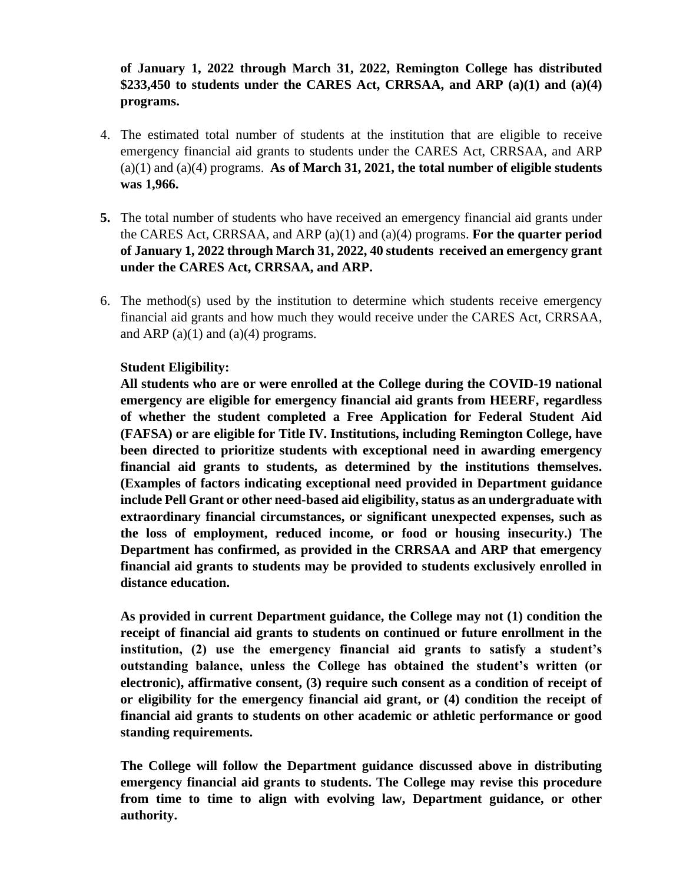## **of January 1, 2022 through March 31, 2022, Remington College has distributed \$233,450 to students under the CARES Act, CRRSAA, and ARP (a)(1) and (a)(4) programs.**

- 4. The estimated total number of students at the institution that are eligible to receive emergency financial aid grants to students under the CARES Act, CRRSAA, and ARP (a)(1) and (a)(4) programs. **As of March 31, 2021, the total number of eligible students was 1,966.**
- **5.** The total number of students who have received an emergency financial aid grants under the CARES Act, CRRSAA, and ARP (a)(1) and (a)(4) programs. **For the quarter period of January 1, 2022 through March 31, 2022, 40 students received an emergency grant under the CARES Act, CRRSAA, and ARP.**
- 6. The method(s) used by the institution to determine which students receive emergency financial aid grants and how much they would receive under the CARES Act, CRRSAA, and ARP  $(a)(1)$  and  $(a)(4)$  programs.

#### **Student Eligibility:**

**All students who are or were enrolled at the College during the COVID-19 national emergency are eligible for emergency financial aid grants from HEERF, regardless of whether the student completed a Free Application for Federal Student Aid (FAFSA) or are eligible for Title IV. Institutions, including Remington College, have been directed to prioritize students with exceptional need in awarding emergency financial aid grants to students, as determined by the institutions themselves. (Examples of factors indicating exceptional need provided in Department guidance include Pell Grant or other need-based aid eligibility, status as an undergraduate with extraordinary financial circumstances, or significant unexpected expenses, such as the loss of employment, reduced income, or food or housing insecurity.) The Department has confirmed, as provided in the CRRSAA and ARP that emergency financial aid grants to students may be provided to students exclusively enrolled in distance education.** 

**As provided in current Department guidance, the College may not (1) condition the receipt of financial aid grants to students on continued or future enrollment in the institution, (2) use the emergency financial aid grants to satisfy a student's outstanding balance, unless the College has obtained the student's written (or electronic), affirmative consent, (3) require such consent as a condition of receipt of or eligibility for the emergency financial aid grant, or (4) condition the receipt of financial aid grants to students on other academic or athletic performance or good standing requirements.** 

**The College will follow the Department guidance discussed above in distributing emergency financial aid grants to students. The College may revise this procedure from time to time to align with evolving law, Department guidance, or other authority.**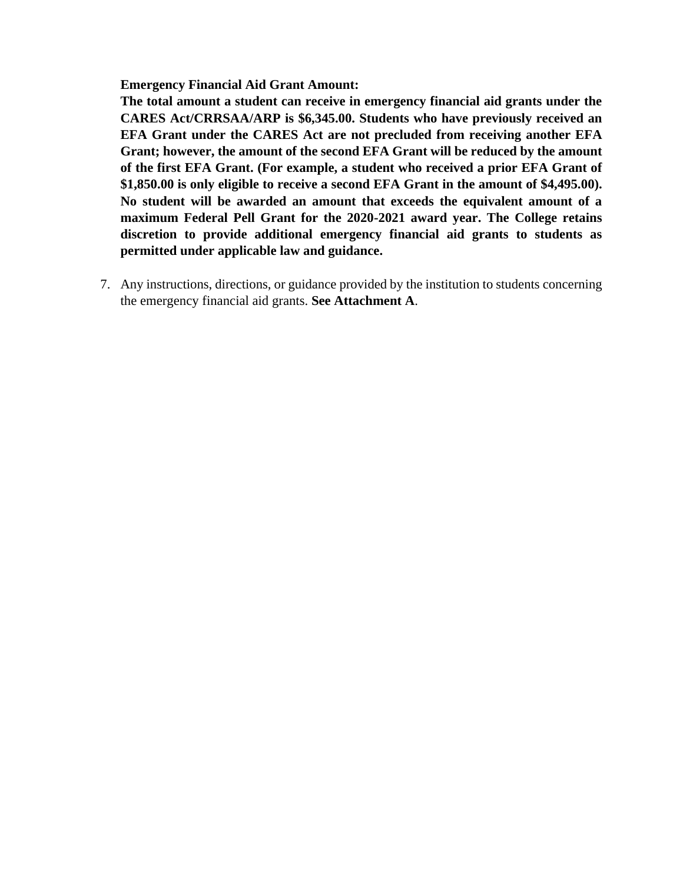**Emergency Financial Aid Grant Amount:**

**The total amount a student can receive in emergency financial aid grants under the CARES Act/CRRSAA/ARP is \$6,345.00. Students who have previously received an EFA Grant under the CARES Act are not precluded from receiving another EFA Grant; however, the amount of the second EFA Grant will be reduced by the amount of the first EFA Grant. (For example, a student who received a prior EFA Grant of \$1,850.00 is only eligible to receive a second EFA Grant in the amount of \$4,495.00). No student will be awarded an amount that exceeds the equivalent amount of a maximum Federal Pell Grant for the 2020-2021 award year. The College retains discretion to provide additional emergency financial aid grants to students as permitted under applicable law and guidance.**

7. Any instructions, directions, or guidance provided by the institution to students concerning the emergency financial aid grants. **See Attachment A**.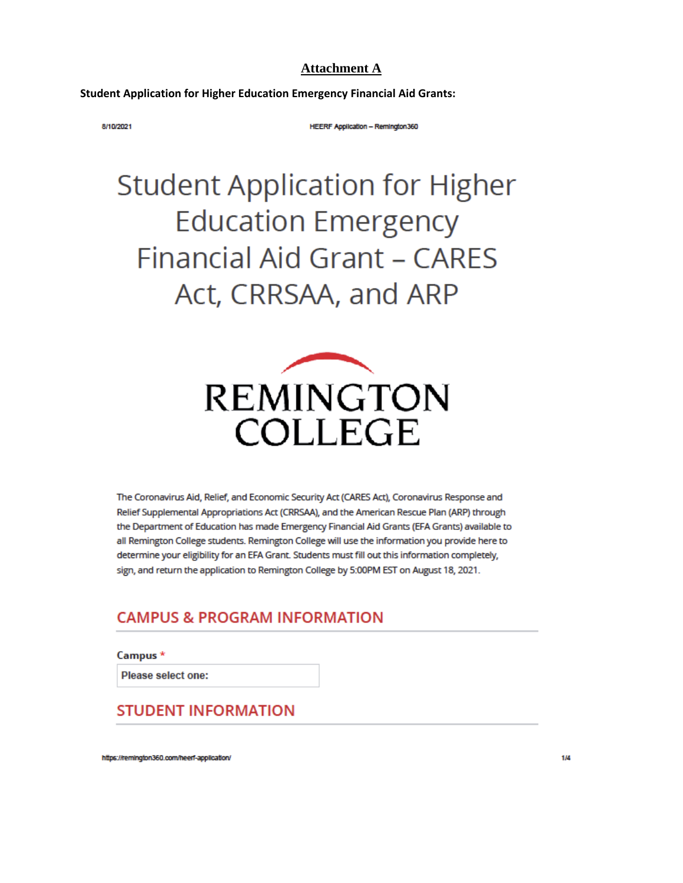#### **Attachment A**

**Student Application for Higher Education Emergency Financial Aid Grants:** 

8/10/2021

**HEERF Application - Remington 360** 

# **Student Application for Higher Education Emergency Financial Aid Grant - CARES** Act, CRRSAA, and ARP



The Coronavirus Aid, Relief, and Economic Security Act (CARES Act), Coronavirus Response and Relief Supplemental Appropriations Act (CRRSAA), and the American Rescue Plan (ARP) through the Department of Education has made Emergency Financial Aid Grants (EFA Grants) available to all Remington College students. Remington College will use the information you provide here to determine your eligibility for an EFA Grant. Students must fill out this information completely, sign, and return the application to Remington College by 5:00PM EST on August 18, 2021.

## **CAMPUS & PROGRAM INFORMATION**

Campus \*

Please select one:

## **STUDENT INFORMATION**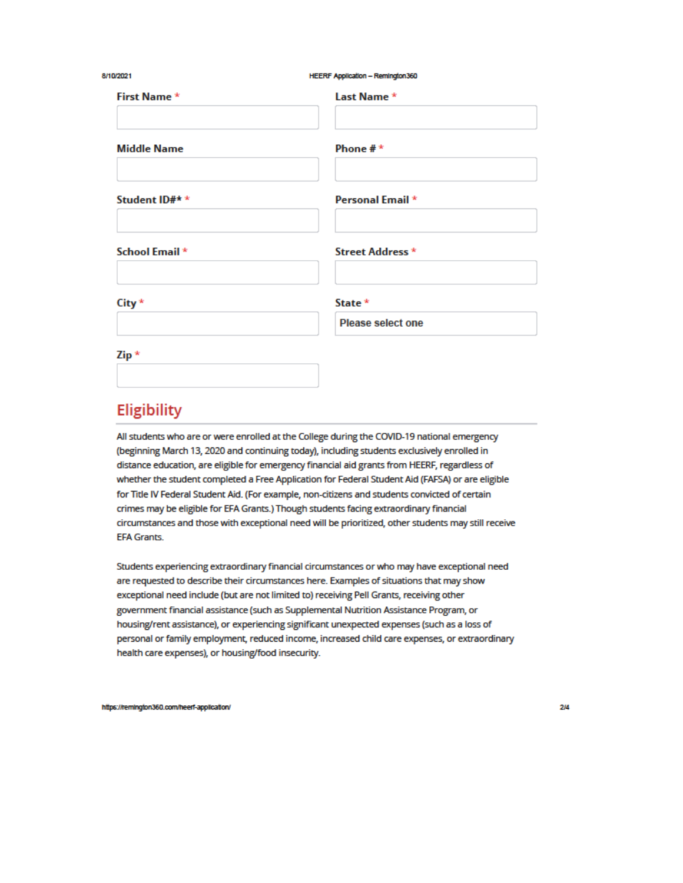| 8/10/2021          | HEERF Application - Remington360 |
|--------------------|----------------------------------|
| First Name *       | Last Name *                      |
| <b>Middle Name</b> | Phone $# *$                      |
| Student ID#* *     | Personal Email *                 |
| School Email *     | Street Address *                 |
| City *             | State *                          |
| Zip *              | <b>Please select one</b>         |
|                    |                                  |

# Eligibility

All students who are or were enrolled at the College during the COVID-19 national emergency (beginning March 13, 2020 and continuing today), including students exclusively enrolled in distance education, are eligible for emergency financial aid grants from HEERF, regardless of whether the student completed a Free Application for Federal Student Aid (FAFSA) or are eligible for Title IV Federal Student Aid. (For example, non-citizens and students convicted of certain crimes may be eligible for EFA Grants.) Though students facing extraordinary financial circumstances and those with exceptional need will be prioritized, other students may still receive **EFA Grants.** 

Students experiencing extraordinary financial circumstances or who may have exceptional need are requested to describe their circumstances here. Examples of situations that may show exceptional need include (but are not limited to) receiving Pell Grants, receiving other government financial assistance (such as Supplemental Nutrition Assistance Program, or housing/rent assistance), or experiencing significant unexpected expenses (such as a loss of personal or family employment, reduced income, increased child care expenses, or extraordinary health care expenses), or housing/food insecurity.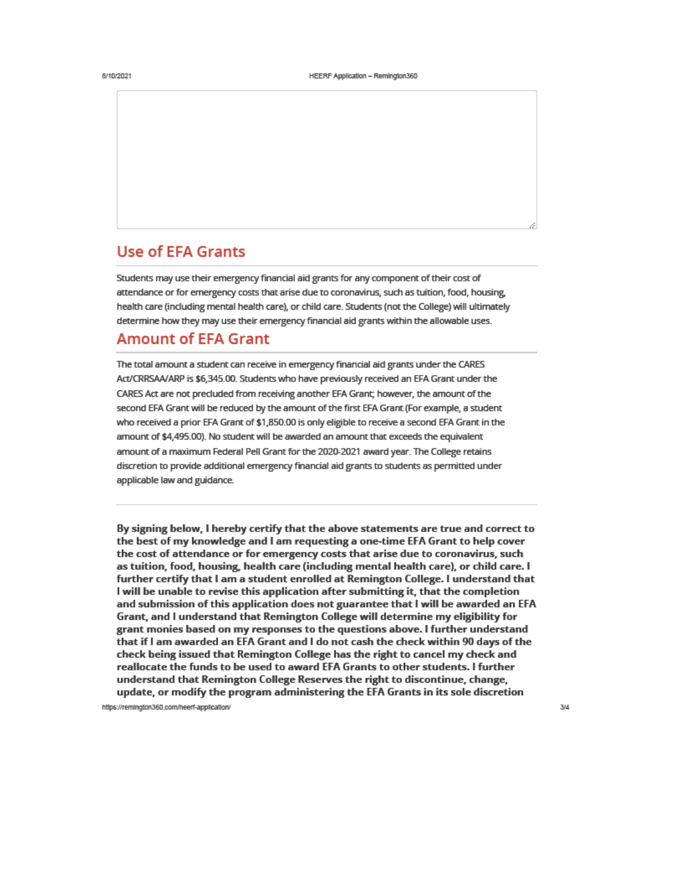## **Use of EFA Grants**

Students may use their emergency financial aid grants for any component of their cost of attendance or for emergency costs that arise due to coronavirus, such as tuition, food, housing, health care (including mental health care), or child care. Students (not the College) will ultimately determine how they may use their emergency financial aid grants within the allowable uses.

## **Amount of EFA Grant**

The total amount a student can receive in emergency financial aid grants under the CARES Act/CRRSAA/ARP is \$6,345.00. Students who have previously received an EFA Grant under the CARES Act are not precluded from receiving another EFA Grant; however, the amount of the second EFA Grant will be reduced by the amount of the first EFA Grant (For example, a student who received a prior EFA Grant of \$1,850.00 is only eligible to receive a second EFA Grant in the amount of \$4,495.00). No student will be awarded an amount that exceeds the equivalent amount of a maximum Federal Pell Grant for the 2020-2021 award year. The College retains discretion to provide additional emergency financial aid grants to students as permitted under applicable law and guidance.

By signing below, I hereby certify that the above statements are true and correct to the best of my knowledge and I am requesting a one-time EFA Grant to help cover the cost of attendance or for emergency costs that arise due to coronavirus, such as tuition, food, housing, health care (including mental health care), or child care. I further certify that I am a student enrolled at Remington College. I understand that I will be unable to revise this application after submitting it, that the completion and submission of this application does not guarantee that I will be awarded an EFA Grant, and I understand that Remington College will determine my eligibility for grant monies based on my responses to the questions above. I further understand that if I am awarded an EFA Grant and I do not cash the check within 90 days of the check being issued that Remington College has the right to cancel my check and reallocate the funds to be used to award EFA Grants to other students. I further understand that Remington College Reserves the right to discontinue, change, update, or modify the program administering the EFA Grants in its sole discretion